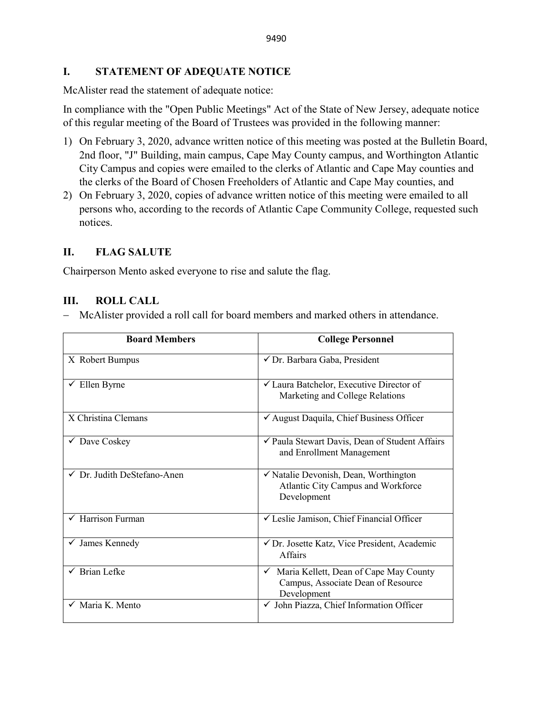## **I. STATEMENT OF ADEQUATE NOTICE**

McAlister read the statement of adequate notice:

In compliance with the "Open Public Meetings" Act of the State of New Jersey, adequate notice of this regular meeting of the Board of Trustees was provided in the following manner:

- 1) On February 3, 2020, advance written notice of this meeting was posted at the Bulletin Board, 2nd floor, "J" Building, main campus, Cape May County campus, and Worthington Atlantic City Campus and copies were emailed to the clerks of Atlantic and Cape May counties and the clerks of the Board of Chosen Freeholders of Atlantic and Cape May counties, and
- 2) On February 3, 2020, copies of advance written notice of this meeting were emailed to all persons who, according to the records of Atlantic Cape Community College, requested such notices.

# **II. FLAG SALUTE**

Chairperson Mento asked everyone to rise and salute the flag.

# **III. ROLL CALL**

− McAlister provided a roll call for board members and marked others in attendance.

| <b>Board Members</b>                 | <b>College Personnel</b>                                                                              |
|--------------------------------------|-------------------------------------------------------------------------------------------------------|
| X Robert Bumpus                      | √ Dr. Barbara Gaba, President                                                                         |
| $\checkmark$ Ellen Byrne             | ✓ Laura Batchelor, Executive Director of<br>Marketing and College Relations                           |
| X Christina Clemans                  | √ August Daquila, Chief Business Officer                                                              |
| $\checkmark$ Dave Coskey             | ✔ Paula Stewart Davis, Dean of Student Affairs<br>and Enrollment Management                           |
| √ Dr. Judith DeStefano-Anen          | $\checkmark$ Natalie Devonish, Dean, Worthington<br>Atlantic City Campus and Workforce<br>Development |
| $\sqrt{\frac{1}{2}}$ Harrison Furman | √ Leslie Jamison, Chief Financial Officer                                                             |
| $\checkmark$ James Kennedy           | ✔ Dr. Josette Katz, Vice President, Academic<br><b>Affairs</b>                                        |
| <b>Brian Lefke</b>                   | Maria Kellett, Dean of Cape May County<br>Campus, Associate Dean of Resource<br>Development           |
| $\checkmark$ Maria K. Mento          | √ John Piazza, Chief Information Officer                                                              |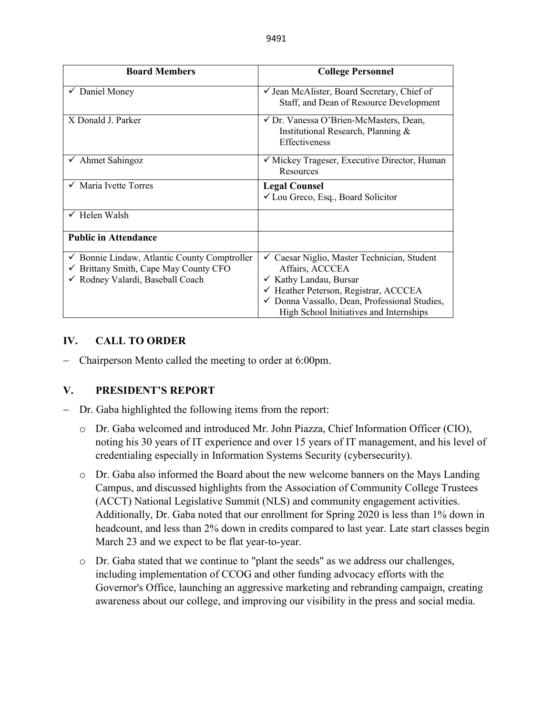| <b>Board Members</b>                                                                                                          | <b>College Personnel</b>                                                                                                                                                                                                                    |
|-------------------------------------------------------------------------------------------------------------------------------|---------------------------------------------------------------------------------------------------------------------------------------------------------------------------------------------------------------------------------------------|
| $\checkmark$ Daniel Money                                                                                                     | ✓ Jean McAlister, Board Secretary, Chief of<br>Staff, and Dean of Resource Development                                                                                                                                                      |
| X Donald J. Parker                                                                                                            | ✓ Dr. Vanessa O'Brien-McMasters, Dean,<br>Institutional Research, Planning &<br>Effectiveness                                                                                                                                               |
| $\checkmark$ Ahmet Sahingoz                                                                                                   | √ Mickey Trageser, Executive Director, Human<br>Resources                                                                                                                                                                                   |
| $\checkmark$ Maria Ivette Torres                                                                                              | <b>Legal Counsel</b><br><del></del> ∠ Lou Greco, Esq., Board Solicitor                                                                                                                                                                      |
| $\checkmark$ Helen Walsh                                                                                                      |                                                                                                                                                                                                                                             |
| <b>Public in Attendance</b>                                                                                                   |                                                                                                                                                                                                                                             |
| Bonnie Lindaw, Atlantic County Comptroller<br>✓<br>Brittany Smith, Cape May County CFO<br>✓<br>Rodney Valardi, Baseball Coach | Caesar Niglio, Master Technician, Student<br>✓<br>Affairs, ACCCEA<br>✓ Kathy Landau, Bursar<br>$\checkmark$ Heather Peterson, Registrar, ACCCEA<br>✓ Donna Vassallo, Dean, Professional Studies,<br>High School Initiatives and Internships |

## **IV. CALL TO ORDER**

− Chairperson Mento called the meeting to order at 6:00pm.

## **V. PRESIDENT'S REPORT**

- Dr. Gaba highlighted the following items from the report:
	- o Dr. Gaba welcomed and introduced Mr. John Piazza, Chief Information Officer (CIO), noting his 30 years of IT experience and over 15 years of IT management, and his level of credentialing especially in Information Systems Security (cybersecurity).
	- o Dr. Gaba also informed the Board about the new welcome banners on the Mays Landing Campus, and discussed highlights from the Association of Community College Trustees (ACCT) National Legislative Summit (NLS) and community engagement activities. Additionally, Dr. Gaba noted that our enrollment for Spring 2020 is less than 1% down in headcount, and less than 2% down in credits compared to last year. Late start classes begin March 23 and we expect to be flat year-to-year.
	- o Dr. Gaba stated that we continue to "plant the seeds" as we address our challenges, including implementation of CCOG and other funding advocacy efforts with the Governor's Office, launching an aggressive marketing and rebranding campaign, creating awareness about our college, and improving our visibility in the press and social media.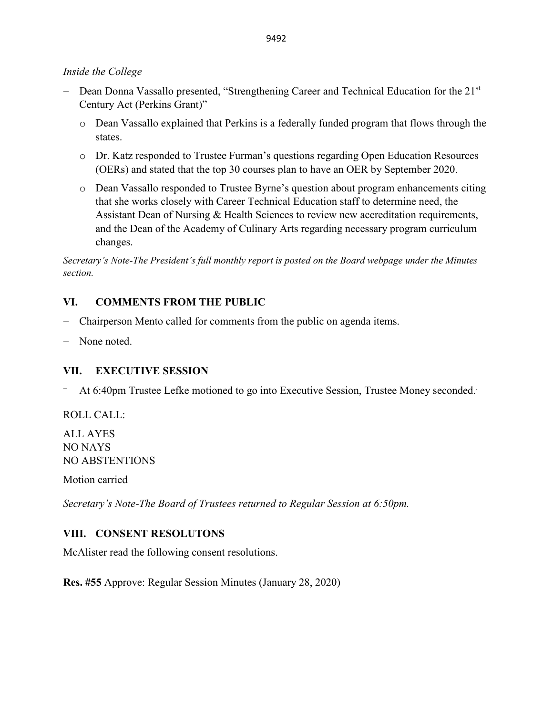### *Inside the College*

- − Dean Donna Vassallo presented, "Strengthening Career and Technical Education for the 21st Century Act (Perkins Grant)"
	- o Dean Vassallo explained that Perkins is a federally funded program that flows through the states.
	- o Dr. Katz responded to Trustee Furman's questions regarding Open Education Resources (OERs) and stated that the top 30 courses plan to have an OER by September 2020.
	- o Dean Vassallo responded to Trustee Byrne's question about program enhancements citing that she works closely with Career Technical Education staff to determine need, the Assistant Dean of Nursing & Health Sciences to review new accreditation requirements, and the Dean of the Academy of Culinary Arts regarding necessary program curriculum changes.

*Secretary's Note-The President's full monthly report is posted on the Board webpage under the Minutes section.*

## **VI. COMMENTS FROM THE PUBLIC**

- − Chairperson Mento called for comments from the public on agenda items.
- None noted.

## **VII. EXECUTIVE SESSION**

<sup>−</sup> At 6:40pm Trustee Lefke motioned to go into Executive Session, Trustee Money seconded..

ROLL CALL:

ALL AYES NO NAYS NO ABSTENTIONS

Motion carried

*Secretary's Note-The Board of Trustees returned to Regular Session at 6:50pm.* 

### **VIII. CONSENT RESOLUTONS**

McAlister read the following consent resolutions.

**Res. #55** Approve: Regular Session Minutes (January 28, 2020)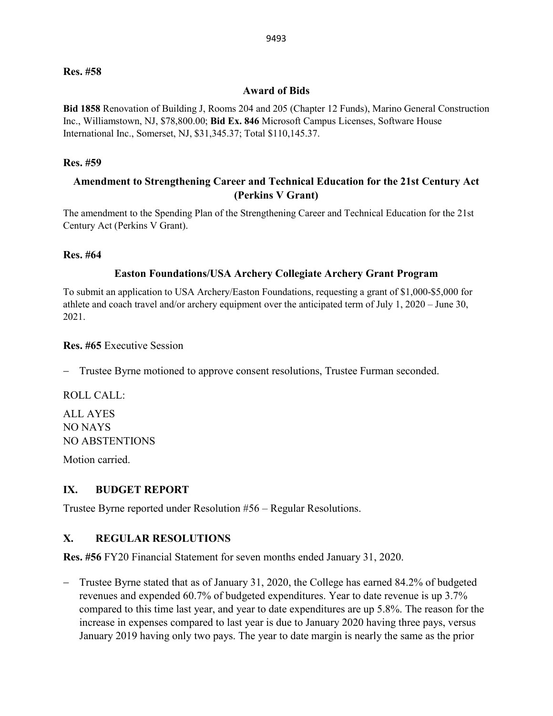#### **Res. #58**

#### **Award of Bids**

**Bid 1858** Renovation of Building J, Rooms 204 and 205 (Chapter 12 Funds), Marino General Construction Inc., Williamstown, NJ, \$78,800.00; **Bid Ex. 846** Microsoft Campus Licenses, Software House International Inc., Somerset, NJ, \$31,345.37; Total \$110,145.37.

#### **Res. #59**

## **Amendment to Strengthening Career and Technical Education for the 21st Century Act (Perkins V Grant)**

The amendment to the Spending Plan of the Strengthening Career and Technical Education for the 21st Century Act (Perkins V Grant).

#### **Res. #64**

### **Easton Foundations/USA Archery Collegiate Archery Grant Program**

To submit an application to USA Archery/Easton Foundations, requesting a grant of \$1,000-\$5,000 for athlete and coach travel and/or archery equipment over the anticipated term of July 1, 2020 – June 30, 2021.

**Res. #65** Executive Session

Trustee Byrne motioned to approve consent resolutions, Trustee Furman seconded.

ROLL CALL:

ALL AYES NO NAYS NO ABSTENTIONS

Motion carried.

#### **IX. BUDGET REPORT**

Trustee Byrne reported under Resolution #56 – Regular Resolutions.

### **X. REGULAR RESOLUTIONS**

**Res. #56** FY20 Financial Statement for seven months ended January 31, 2020.

− Trustee Byrne stated that as of January 31, 2020, the College has earned 84.2% of budgeted revenues and expended 60.7% of budgeted expenditures. Year to date revenue is up 3.7% compared to this time last year, and year to date expenditures are up 5.8%. The reason for the increase in expenses compared to last year is due to January 2020 having three pays, versus January 2019 having only two pays. The year to date margin is nearly the same as the prior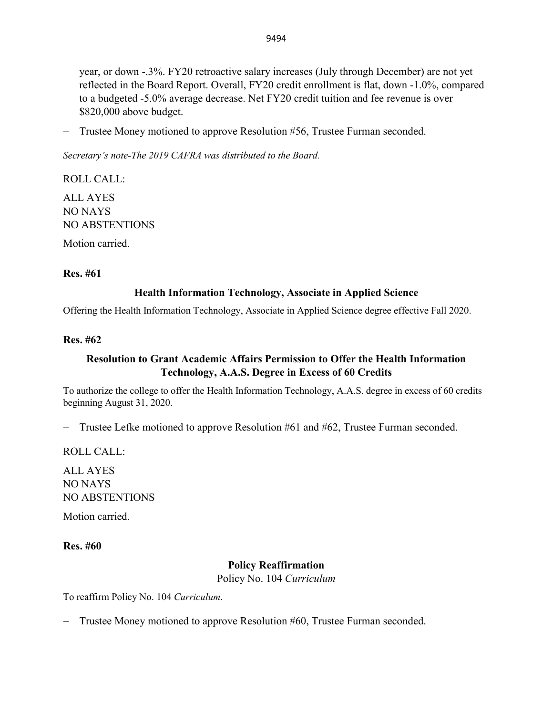year, or down -.3%. FY20 retroactive salary increases (July through December) are not yet reflected in the Board Report. Overall, FY20 credit enrollment is flat, down -1.0%, compared to a budgeted -5.0% average decrease. Net FY20 credit tuition and fee revenue is over \$820,000 above budget.

− Trustee Money motioned to approve Resolution #56, Trustee Furman seconded.

*Secretary's note-The 2019 CAFRA was distributed to the Board.* 

ROLL CALL: ALL AYES NO NAYS NO ABSTENTIONS

Motion carried.

### **Res. #61**

### **Health Information Technology, Associate in Applied Science**

Offering the Health Information Technology, Associate in Applied Science degree effective Fall 2020.

### **Res. #62**

## **Resolution to Grant Academic Affairs Permission to Offer the Health Information Technology, A.A.S. Degree in Excess of 60 Credits**

To authorize the college to offer the Health Information Technology, A.A.S. degree in excess of 60 credits beginning August 31, 2020.

− Trustee Lefke motioned to approve Resolution #61 and #62, Trustee Furman seconded.

ROLL CALL:

ALL AYES NO NAYS NO ABSTENTIONS

Motion carried.

### **Res. #60**

### **Policy Reaffirmation**

Policy No. 104 *Curriculum*

To reaffirm Policy No. 104 *Curriculum*.

− Trustee Money motioned to approve Resolution #60, Trustee Furman seconded.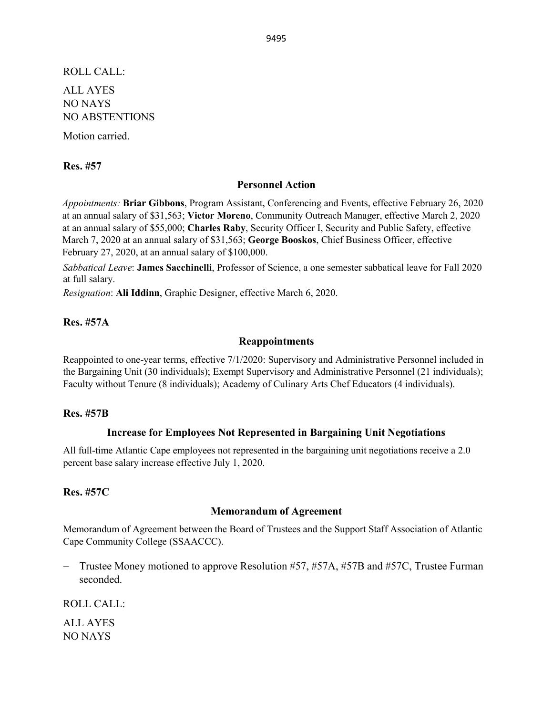ROLL CALL: ALL AYES NO NAYS NO ABSTENTIONS

Motion carried.

**Res. #57** 

#### **Personnel Action**

*Appointments:* **Briar Gibbons**, Program Assistant, Conferencing and Events, effective February 26, 2020 at an annual salary of \$31,563; **Victor Moreno**, Community Outreach Manager, effective March 2, 2020 at an annual salary of \$55,000; **Charles Raby**, Security Officer I, Security and Public Safety, effective March 7, 2020 at an annual salary of \$31,563; **George Booskos**, Chief Business Officer, effective February 27, 2020, at an annual salary of \$100,000.

*Sabbatical Leave*: **James Sacchinelli**, Professor of Science, a one semester sabbatical leave for Fall 2020 at full salary.

*Resignation*: **Ali Iddinn**, Graphic Designer, effective March 6, 2020.

### **Res. #57A**

#### **Reappointments**

Reappointed to one-year terms, effective 7/1/2020: Supervisory and Administrative Personnel included in the Bargaining Unit (30 individuals); Exempt Supervisory and Administrative Personnel (21 individuals); Faculty without Tenure (8 individuals); Academy of Culinary Arts Chef Educators (4 individuals).

#### **Res. #57B**

### **Increase for Employees Not Represented in Bargaining Unit Negotiations**

All full-time Atlantic Cape employees not represented in the bargaining unit negotiations receive a 2.0 percent base salary increase effective July 1, 2020.

### **Res. #57C**

#### **Memorandum of Agreement**

Memorandum of Agreement between the Board of Trustees and the Support Staff Association of Atlantic Cape Community College (SSAACCC).

− Trustee Money motioned to approve Resolution #57, #57A, #57B and #57C, Trustee Furman seconded.

ROLL CALL:

ALL AYES NO NAYS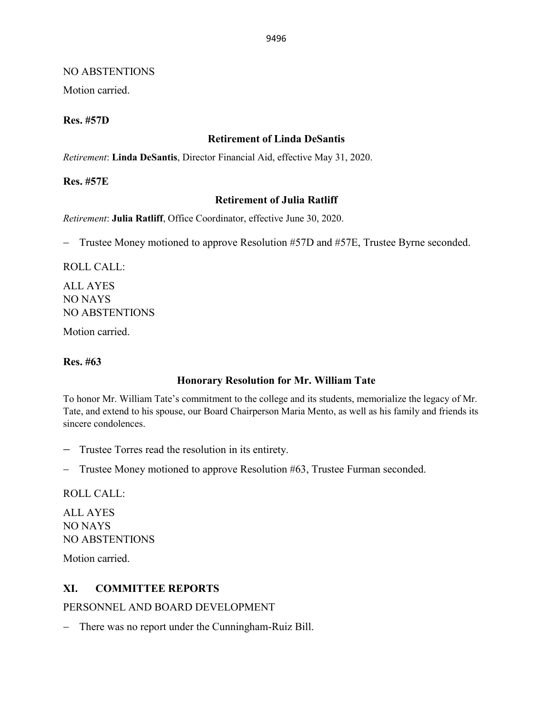### NO ABSTENTIONS

Motion carried.

### **Res. #57D**

### **Retirement of Linda DeSantis**

*Retirement*: **Linda DeSantis**, Director Financial Aid, effective May 31, 2020.

**Res. #57E** 

### **Retirement of Julia Ratliff**

*Retirement*: **Julia Ratliff**, Office Coordinator, effective June 30, 2020.

− Trustee Money motioned to approve Resolution #57D and #57E, Trustee Byrne seconded.

ROLL CALL:

ALL AYES NO NAYS NO ABSTENTIONS

Motion carried.

### **Res. #63**

## **Honorary Resolution for Mr. William Tate**

To honor Mr. William Tate's commitment to the college and its students, memorialize the legacy of Mr. Tate, and extend to his spouse, our Board Chairperson Maria Mento, as well as his family and friends its sincere condolences.

- − Trustee Torres read the resolution in its entirety.
- − Trustee Money motioned to approve Resolution #63, Trustee Furman seconded.

ROLL CALL:

ALL AYES NO NAYS NO ABSTENTIONS

Motion carried.

## **XI. COMMITTEE REPORTS**

PERSONNEL AND BOARD DEVELOPMENT

− There was no report under the Cunningham-Ruiz Bill.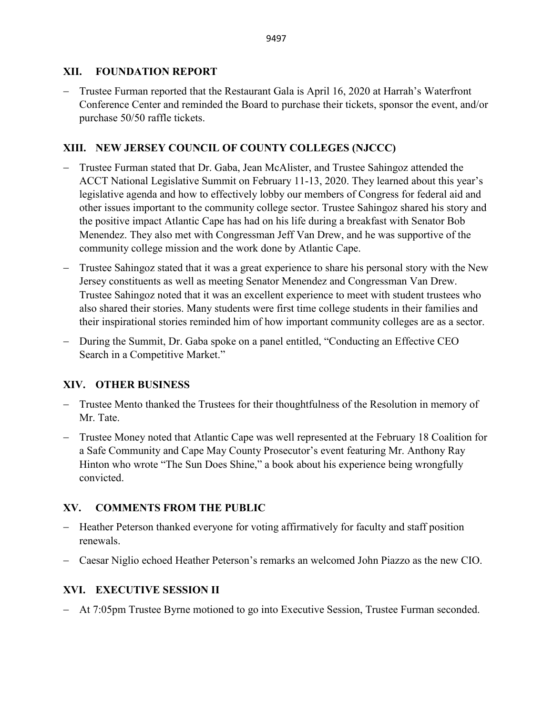## **XII. FOUNDATION REPORT**

− Trustee Furman reported that the Restaurant Gala is April 16, 2020 at Harrah's Waterfront Conference Center and reminded the Board to purchase their tickets, sponsor the event, and/or purchase 50/50 raffle tickets.

## **XIII. NEW JERSEY COUNCIL OF COUNTY COLLEGES (NJCCC)**

- − Trustee Furman stated that Dr. Gaba, Jean McAlister, and Trustee Sahingoz attended the ACCT National Legislative Summit on February 11-13, 2020. They learned about this year's legislative agenda and how to effectively lobby our members of Congress for federal aid and other issues important to the community college sector. Trustee Sahingoz shared his story and the positive impact Atlantic Cape has had on his life during a breakfast with Senator Bob Menendez. They also met with Congressman Jeff Van Drew, and he was supportive of the community college mission and the work done by Atlantic Cape.
- − Trustee Sahingoz stated that it was a great experience to share his personal story with the New Jersey constituents as well as meeting Senator Menendez and Congressman Van Drew. Trustee Sahingoz noted that it was an excellent experience to meet with student trustees who also shared their stories. Many students were first time college students in their families and their inspirational stories reminded him of how important community colleges are as a sector.
- − During the Summit, Dr. Gaba spoke on a panel entitled, "Conducting an Effective CEO Search in a Competitive Market."

## **XIV. OTHER BUSINESS**

- − Trustee Mento thanked the Trustees for their thoughtfulness of the Resolution in memory of Mr. Tate.
- − Trustee Money noted that Atlantic Cape was well represented at the February 18 Coalition for a Safe Community and Cape May County Prosecutor's event featuring Mr. Anthony Ray Hinton who wrote "The Sun Does Shine," a book about his experience being wrongfully convicted.

# **XV. COMMENTS FROM THE PUBLIC**

- − Heather Peterson thanked everyone for voting affirmatively for faculty and staff position renewals.
- − Caesar Niglio echoed Heather Peterson's remarks an welcomed John Piazzo as the new CIO.

# **XVI. EXECUTIVE SESSION II**

− At 7:05pm Trustee Byrne motioned to go into Executive Session, Trustee Furman seconded.